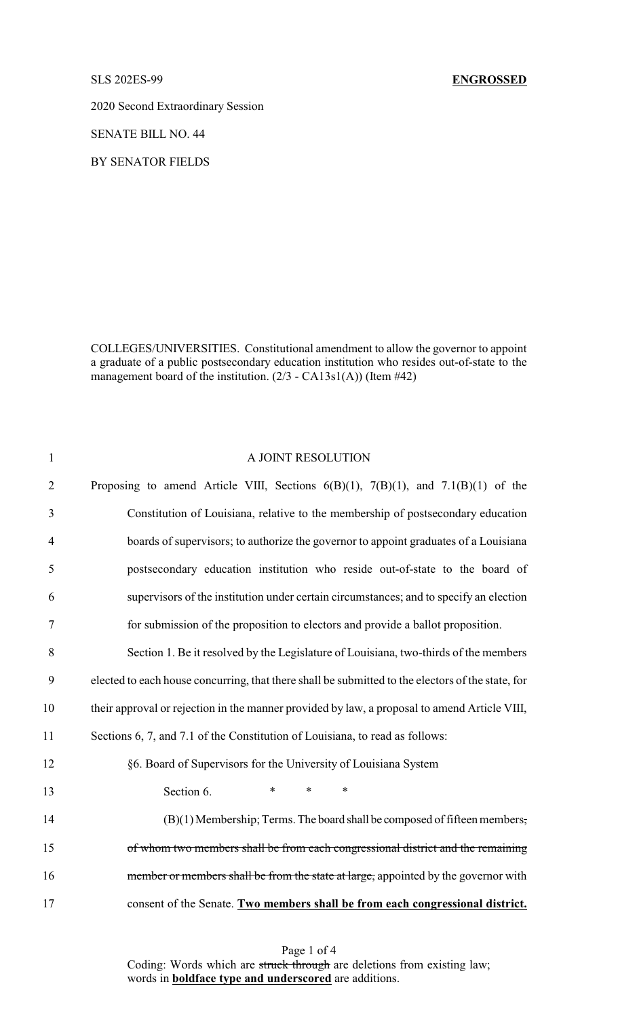2020 Second Extraordinary Session

SENATE BILL NO. 44

BY SENATOR FIELDS

COLLEGES/UNIVERSITIES. Constitutional amendment to allow the governor to appoint a graduate of a public postsecondary education institution who resides out-of-state to the management board of the institution. (2/3 - CA13s1(A)) (Item #42)

| $\mathbf{1}$   | A JOINT RESOLUTION                                                                                |
|----------------|---------------------------------------------------------------------------------------------------|
| $\overline{2}$ | Proposing to amend Article VIII, Sections $6(B)(1)$ , $7(B)(1)$ , and $7.1(B)(1)$ of the          |
| 3              | Constitution of Louisiana, relative to the membership of postsecondary education                  |
| $\overline{4}$ | boards of supervisors; to authorize the governor to appoint graduates of a Louisiana              |
| 5              | postsecondary education institution who reside out-of-state to the board of                       |
| 6              | supervisors of the institution under certain circumstances; and to specify an election            |
| 7              | for submission of the proposition to electors and provide a ballot proposition.                   |
| 8              | Section 1. Be it resolved by the Legislature of Louisiana, two-thirds of the members              |
| 9              | elected to each house concurring, that there shall be submitted to the electors of the state, for |
| 10             | their approval or rejection in the manner provided by law, a proposal to amend Article VIII,      |
| 11             | Sections 6, 7, and 7.1 of the Constitution of Louisiana, to read as follows:                      |
| 12             | §6. Board of Supervisors for the University of Louisiana System                                   |
| 13             | Section 6.<br>$\ast$<br>$\ast$<br>*                                                               |
| 14             | (B)(1) Membership; Terms. The board shall be composed of fifteen members,                         |
| 15             | of whom two members shall be from each congressional district and the remaining                   |
| 16             | member or members shall be from the state at large, appointed by the governor with                |
| 17             | consent of the Senate. Two members shall be from each congressional district.                     |

Page 1 of 4 Coding: Words which are struck through are deletions from existing law; words in **boldface type and underscored** are additions.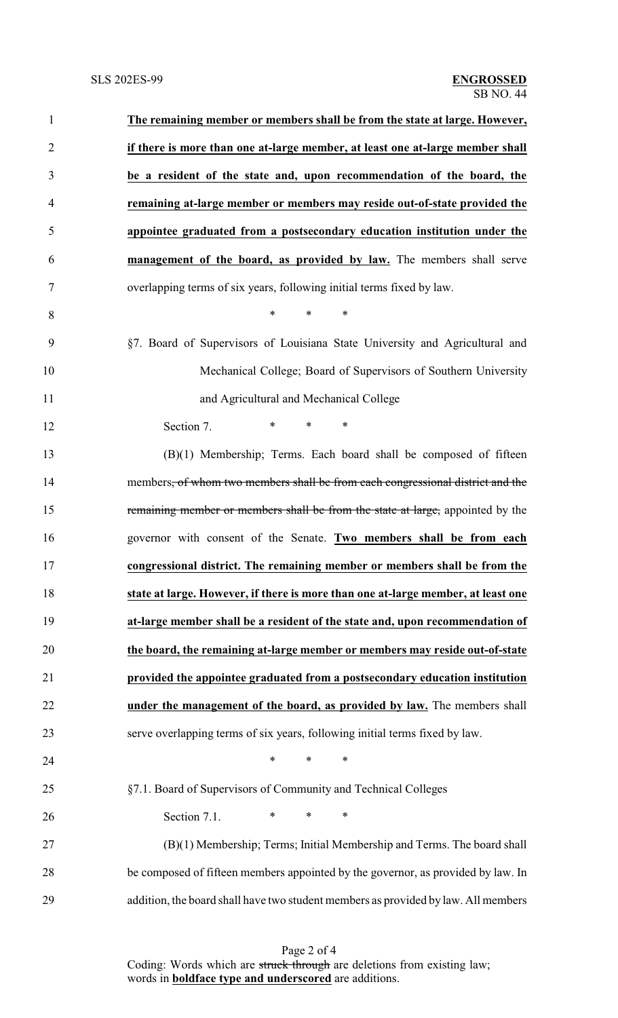| $\mathbf{1}$   | The remaining member or members shall be from the state at large. However,                 |
|----------------|--------------------------------------------------------------------------------------------|
| $\overline{2}$ | if there is more than one at-large member, at least one at-large member shall              |
| 3              | be a resident of the state and, upon recommendation of the board, the                      |
| $\overline{4}$ | remaining at-large member or members may reside out-of-state provided the                  |
| 5              | appointee graduated from a postsecondary education institution under the                   |
| 6              | management of the board, as provided by law. The members shall serve                       |
| 7              | overlapping terms of six years, following initial terms fixed by law.                      |
| 8              | $\ast$<br>$\ast$<br>∗                                                                      |
| 9              | §7. Board of Supervisors of Louisiana State University and Agricultural and                |
| 10             | Mechanical College; Board of Supervisors of Southern University                            |
| 11             | and Agricultural and Mechanical College                                                    |
| 12             | $\ast$<br>$\ast$<br>$\ast$<br>Section 7.                                                   |
| 13             | (B)(1) Membership; Terms. Each board shall be composed of fifteen                          |
| 14             | members <del>, of whom two members shall be from each congressional district and the</del> |
| 15             | remaining member or members shall be from the state at large, appointed by the             |
| 16             | governor with consent of the Senate. Two members shall be from each                        |
| 17             | congressional district. The remaining member or members shall be from the                  |
| 18             | state at large. However, if there is more than one at-large member, at least one           |
| 19             | at-large member shall be a resident of the state and, upon recommendation of               |
| 20             | the board, the remaining at-large member or members may reside out-of-state                |
| 21             | provided the appointee graduated from a postsecondary education institution                |
| 22             | under the management of the board, as provided by law. The members shall                   |
| 23             | serve overlapping terms of six years, following initial terms fixed by law.                |
| 24             | $\ast$<br>$\ast$<br>$\ast$                                                                 |
| 25             | §7.1. Board of Supervisors of Community and Technical Colleges                             |
| 26             | $\ast$<br>$\ast$<br>Section 7.1.<br>∗                                                      |
| 27             | (B)(1) Membership; Terms; Initial Membership and Terms. The board shall                    |
| 28             | be composed of fifteen members appointed by the governor, as provided by law. In           |
| 29             | addition, the board shall have two student members as provided by law. All members         |

Page 2 of 4 Coding: Words which are struck through are deletions from existing law; words in **boldface type and underscored** are additions.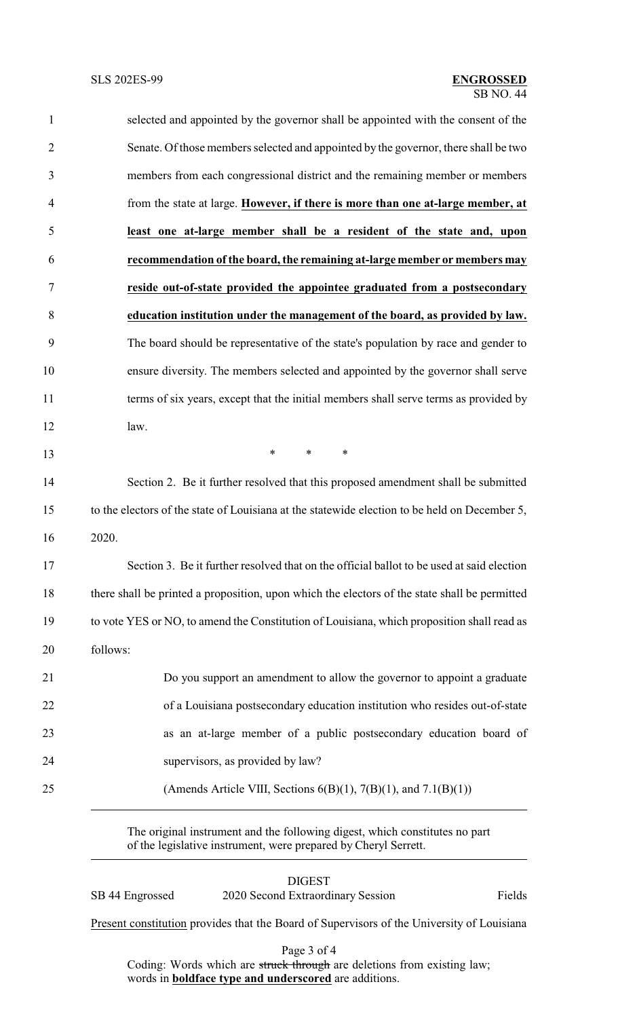| $\mathbf{1}$   | selected and appointed by the governor shall be appointed with the consent of the             |
|----------------|-----------------------------------------------------------------------------------------------|
| $\overline{2}$ | Senate. Of those members selected and appointed by the governor, there shall be two           |
| 3              | members from each congressional district and the remaining member or members                  |
| 4              | from the state at large. However, if there is more than one at-large member, at               |
| 5              | least one at-large member shall be a resident of the state and, upon                          |
| 6              | recommendation of the board, the remaining at-large member or members may                     |
| 7              | reside out-of-state provided the appointee graduated from a postsecondary                     |
| 8              | education institution under the management of the board, as provided by law.                  |
| 9              | The board should be representative of the state's population by race and gender to            |
| 10             | ensure diversity. The members selected and appointed by the governor shall serve              |
| 11             | terms of six years, except that the initial members shall serve terms as provided by          |
| 12             | law.                                                                                          |
| 13             | $\ast$<br>$\ast$<br>$\ast$                                                                    |
| 14             | Section 2. Be it further resolved that this proposed amendment shall be submitted             |
| 15             | to the electors of the state of Louisiana at the statewide election to be held on December 5, |
| 16             | 2020.                                                                                         |
| 17             | Section 3. Be it further resolved that on the official ballot to be used at said election     |
| 18             | there shall be printed a proposition, upon which the electors of the state shall be permitted |
| 19             | to vote YES or NO, to amend the Constitution of Louisiana, which proposition shall read as    |
| 20             | follows:                                                                                      |
| 21             | Do you support an amendment to allow the governor to appoint a graduate                       |
| 22             | of a Louisiana postsecondary education institution who resides out-of-state                   |
| 23             | as an at-large member of a public postsecondary education board of                            |
| 24             | supervisors, as provided by law?                                                              |
| 25             | (Amends Article VIII, Sections $6(B)(1)$ , $7(B)(1)$ , and $7.1(B)(1)$ )                      |

The original instrument and the following digest, which constitutes no part of the legislative instrument, were prepared by Cheryl Serrett.

|                 | <b>DIGEST</b>                     |        |
|-----------------|-----------------------------------|--------|
| SB 44 Engrossed | 2020 Second Extraordinary Session | Fields |

Present constitution provides that the Board of Supervisors of the University of Louisiana

Page 3 of 4

Coding: Words which are struck through are deletions from existing law; words in **boldface type and underscored** are additions.